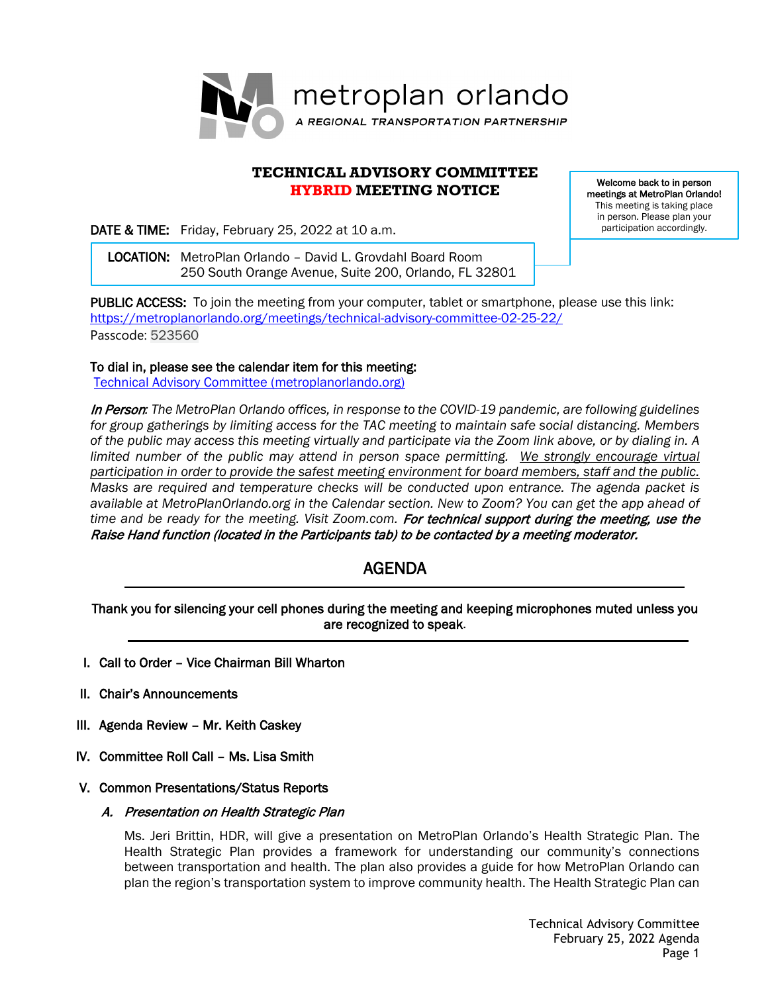

# **TECHNICAL ADVISORY COMMITTEE HYBRID MEETING NOTICE**

DATE & TIME: Friday, February 25, 2022 at 10 a.m.

Welcome back to in person meetings at MetroPlan Orlando! This meeting is taking place in person. Please plan your participation accordingly.

 LOCATION: MetroPlan Orlando – David L. Grovdahl Board Room 250 South Orange Avenue, Suite 200, Orlando, FL 32801

PUBLIC ACCESS: To join the meeting from your computer, tablet or smartphone, please use this link: <https://metroplanorlando.org/meetings/technical-advisory-committee-02-25-22/> Passcode: 523560

To dial in, please see the calendar item for this meeting:

[Technical Advisory Committee \(metroplanorlando.org\)](https://metroplanorlando.org/meetings/technical-advisory-committee-02-25-22/)

In Person*: The MetroPlan Orlando offices, in response to the COVID-19 pandemic, are following guidelines for group gatherings by limiting access for the TAC meeting to maintain safe social distancing. Members of the public may access this meeting virtually and participate via the Zoom link above, or by dialing in. A limited number of the public may attend in person space permitting. We strongly encourage virtual participation in order to provide the safest meeting environment for board members, staff and the public. Masks are required and temperature checks will be conducted upon entrance. The agenda packet is available at MetroPlanOrlando.org in the Calendar section. New to Zoom? You can get the app ahead of*  time and be ready for the meeting. Visit Zoom.com. For technical support during the meeting, use the Raise Hand function (located in the Participants tab) to be contacted by a meeting moderator.

# AGENDA

Thank you for silencing your cell phones during the meeting and keeping microphones muted unless you are recognized to speak.

- I. Call to Order Vice Chairman Bill Wharton
- II. Chair's Announcements
- III. Agenda Review Mr. Keith Caskey
- IV. Committee Roll Call Ms. Lisa Smith

#### V. Common Presentations/Status Reports

#### A. Presentation on Health Strategic Plan

Ms. Jeri Brittin, HDR, will give a presentation on MetroPlan Orlando's Health Strategic Plan. The Health Strategic Plan provides a framework for understanding our community's connections between transportation and health. The plan also provides a guide for how MetroPlan Orlando can plan the region's transportation system to improve community health. The Health Strategic Plan can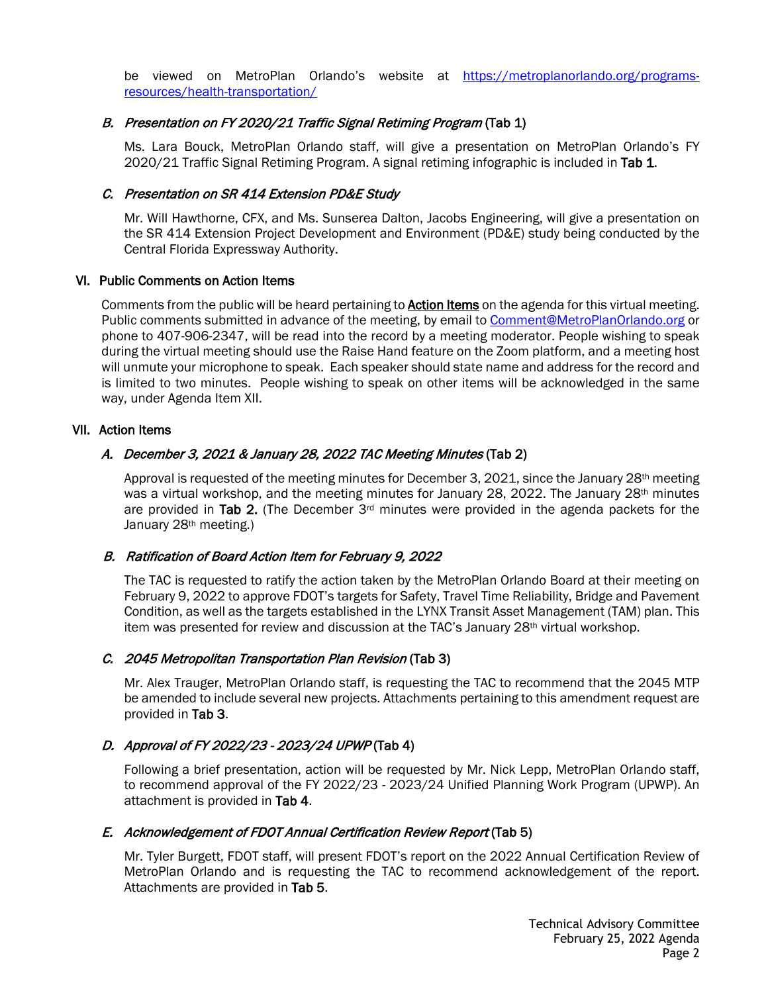be viewed on MetroPlan Orlando's website at [https://metroplanorlando.org/programs](https://metroplanorlando.org/programs-resources/health-transportation/)[resources/health-transportation/](https://metroplanorlando.org/programs-resources/health-transportation/)

## B. Presentation on FY 2020/21 Traffic Signal Retiming Program (Tab 1)

Ms. Lara Bouck, MetroPlan Orlando staff, will give a presentation on MetroPlan Orlando's FY 2020/21 Traffic Signal Retiming Program. A signal retiming infographic is included in Tab 1.

## C. Presentation on SR 414 Extension PD&E Study

Mr. Will Hawthorne, CFX, and Ms. Sunserea Dalton, Jacobs Engineering, will give a presentation on the SR 414 Extension Project Development and Environment (PD&E) study being conducted by the Central Florida Expressway Authority.

#### VI. Public Comments on Action Items

Comments from the public will be heard pertaining to **Action Items** on the agenda for this virtual meeting. Public comments submitted in advance of the meeting, by email to [Comment@MetroPlanOrlando.org](mailto:Comment@MetroPlanOrlando.org) or phone to 407-906-2347, will be read into the record by a meeting moderator. People wishing to speak during the virtual meeting should use the Raise Hand feature on the Zoom platform, and a meeting host will unmute your microphone to speak. Each speaker should state name and address for the record and is limited to two minutes. People wishing to speak on other items will be acknowledged in the same way, under Agenda Item XII.

## VII. Action Items

# A. December 3, 2021 & January 28, 2022 TAC Meeting Minutes (Tab 2)

Approval is requested of the meeting minutes for December 3, 2021, since the January 28<sup>th</sup> meeting was a virtual workshop, and the meeting minutes for January 28, 2022. The January 28<sup>th</sup> minutes are provided in Tab 2. (The December  $3<sup>rd</sup>$  minutes were provided in the agenda packets for the January 28th meeting.)

# B. Ratification of Board Action Item for February 9, 2022

The TAC is requested to ratify the action taken by the MetroPlan Orlando Board at their meeting on February 9, 2022 to approve FDOT's targets for Safety, Travel Time Reliability, Bridge and Pavement Condition, as well as the targets established in the LYNX Transit Asset Management (TAM) plan. This item was presented for review and discussion at the TAC's January 28<sup>th</sup> virtual workshop.

# C. 2045 Metropolitan Transportation Plan Revision (Tab 3)

Mr. Alex Trauger, MetroPlan Orlando staff, is requesting the TAC to recommend that the 2045 MTP be amended to include several new projects. Attachments pertaining to this amendment request are provided in Tab 3.

# D. Approval of FY 2022/23 - 2023/24 UPWP (Tab 4)

Following a brief presentation, action will be requested by Mr. Nick Lepp, MetroPlan Orlando staff, to recommend approval of the FY 2022/23 - 2023/24 Unified Planning Work Program (UPWP). An attachment is provided in Tab 4.

#### E. Acknowledgement of FDOT Annual Certification Review Report (Tab 5)

Mr. Tyler Burgett, FDOT staff, will present FDOT's report on the 2022 Annual Certification Review of MetroPlan Orlando and is requesting the TAC to recommend acknowledgement of the report. Attachments are provided in Tab 5.